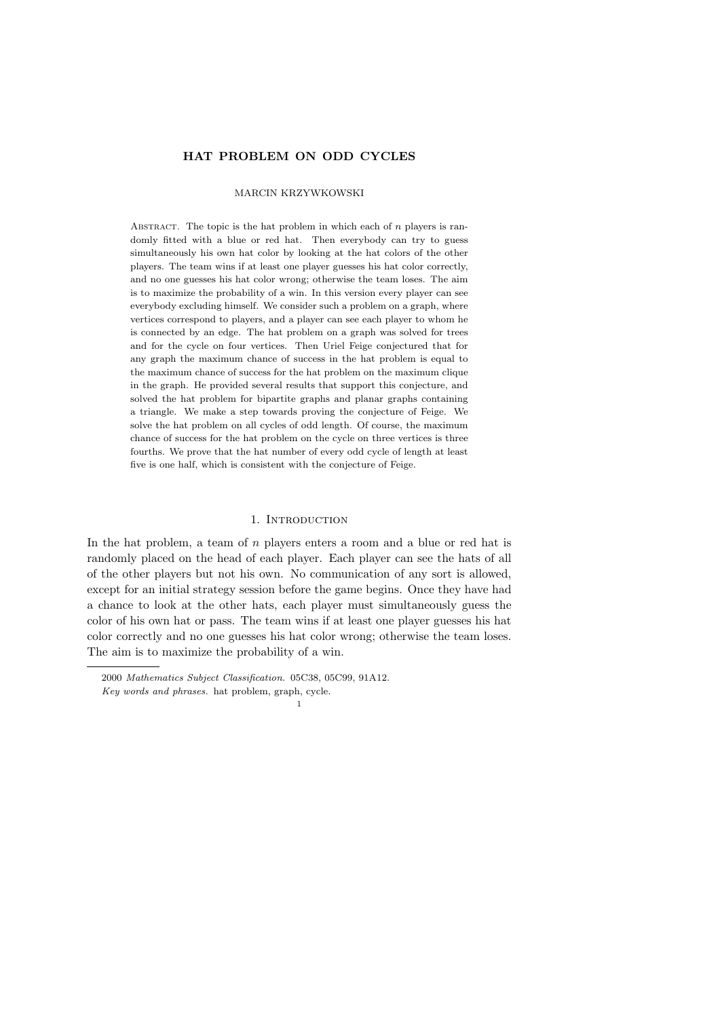## HAT PROBLEM ON ODD CYCLES

## MARCIN KRZYWKOWSKI

ABSTRACT. The topic is the hat problem in which each of  $n$  players is randomly fitted with a blue or red hat. Then everybody can try to guess simultaneously his own hat color by looking at the hat colors of the other players. The team wins if at least one player guesses his hat color correctly, and no one guesses his hat color wrong; otherwise the team loses. The aim is to maximize the probability of a win. In this version every player can see everybody excluding himself. We consider such a problem on a graph, where vertices correspond to players, and a player can see each player to whom he is connected by an edge. The hat problem on a graph was solved for trees and for the cycle on four vertices. Then Uriel Feige conjectured that for any graph the maximum chance of success in the hat problem is equal to the maximum chance of success for the hat problem on the maximum clique in the graph. He provided several results that support this conjecture, and solved the hat problem for bipartite graphs and planar graphs containing a triangle. We make a step towards proving the conjecture of Feige. We solve the hat problem on all cycles of odd length. Of course, the maximum chance of success for the hat problem on the cycle on three vertices is three fourths. We prove that the hat number of every odd cycle of length at least five is one half, which is consistent with the conjecture of Feige.

### 1. INTRODUCTION

In the hat problem, a team of  $n$  players enters a room and a blue or red hat is randomly placed on the head of each player. Each player can see the hats of all of the other players but not his own. No communication of any sort is allowed, except for an initial strategy session before the game begins. Once they have had a chance to look at the other hats, each player must simultaneously guess the color of his own hat or pass. The team wins if at least one player guesses his hat color correctly and no one guesses his hat color wrong; otherwise the team loses. The aim is to maximize the probability of a win.

<sup>2000</sup> Mathematics Subject Classification. 05C38, 05C99, 91A12.

Key words and phrases. hat problem, graph, cycle. 1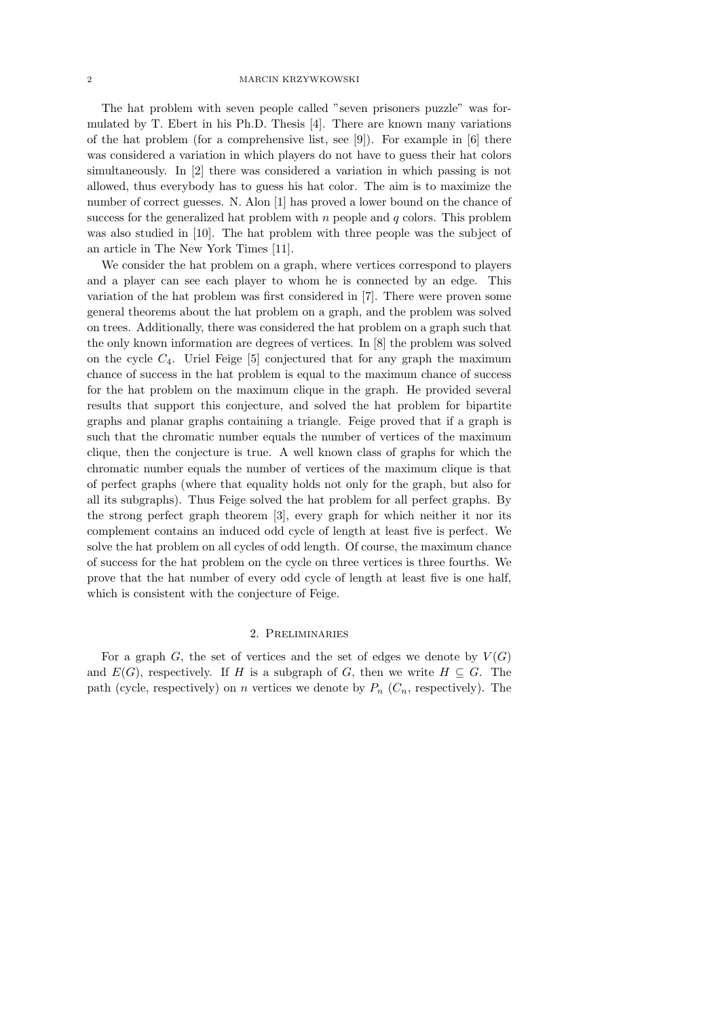### 2 MARCIN KRZYWKOWSKI

The hat problem with seven people called "seven prisoners puzzle" was formulated by T. Ebert in his Ph.D. Thesis [4]. There are known many variations of the hat problem (for a comprehensive list, see [9]). For example in [6] there was considered a variation in which players do not have to guess their hat colors simultaneously. In [2] there was considered a variation in which passing is not allowed, thus everybody has to guess his hat color. The aim is to maximize the number of correct guesses. N. Alon [1] has proved a lower bound on the chance of success for the generalized hat problem with  $n$  people and  $q$  colors. This problem was also studied in [10]. The hat problem with three people was the subject of an article in The New York Times [11].

We consider the hat problem on a graph, where vertices correspond to players and a player can see each player to whom he is connected by an edge. This variation of the hat problem was first considered in [7]. There were proven some general theorems about the hat problem on a graph, and the problem was solved on trees. Additionally, there was considered the hat problem on a graph such that the only known information are degrees of vertices. In [8] the problem was solved on the cycle  $C_4$ . Uriel Feige [5] conjectured that for any graph the maximum chance of success in the hat problem is equal to the maximum chance of success for the hat problem on the maximum clique in the graph. He provided several results that support this conjecture, and solved the hat problem for bipartite graphs and planar graphs containing a triangle. Feige proved that if a graph is such that the chromatic number equals the number of vertices of the maximum clique, then the conjecture is true. A well known class of graphs for which the chromatic number equals the number of vertices of the maximum clique is that of perfect graphs (where that equality holds not only for the graph, but also for all its subgraphs). Thus Feige solved the hat problem for all perfect graphs. By the strong perfect graph theorem [3], every graph for which neither it nor its complement contains an induced odd cycle of length at least five is perfect. We solve the hat problem on all cycles of odd length. Of course, the maximum chance of success for the hat problem on the cycle on three vertices is three fourths. We prove that the hat number of every odd cycle of length at least five is one half, which is consistent with the conjecture of Feige.

### 2. Preliminaries

For a graph G, the set of vertices and the set of edges we denote by  $V(G)$ and  $E(G)$ , respectively. If H is a subgraph of G, then we write  $H \subseteq G$ . The path (cycle, respectively) on n vertices we denote by  $P_n$  ( $C_n$ , respectively). The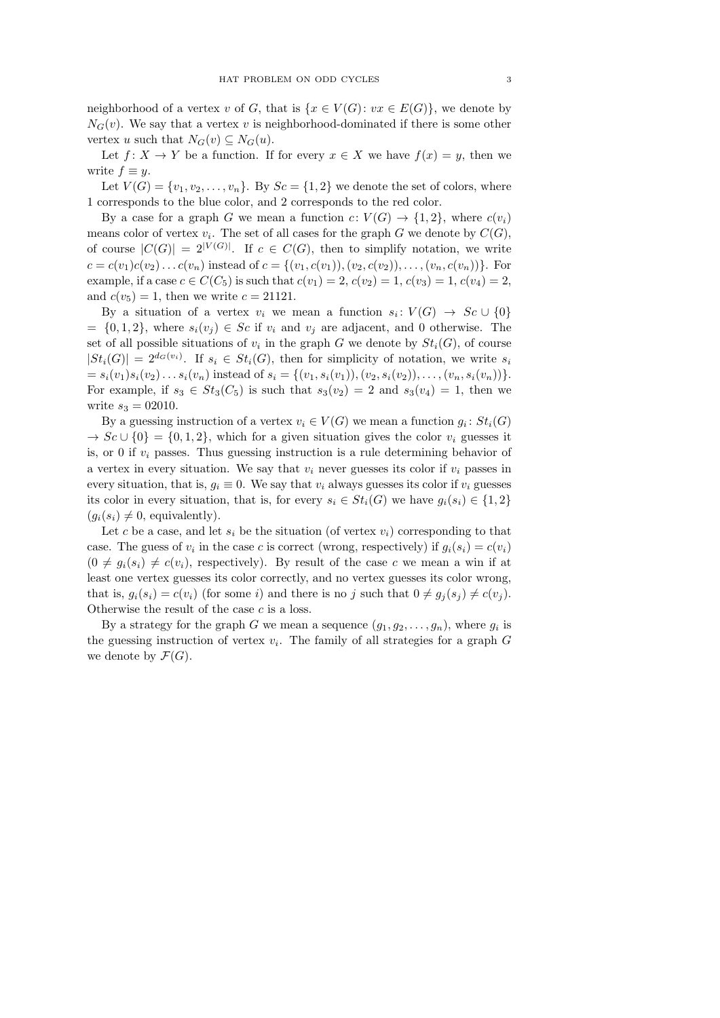neighborhood of a vertex v of G, that is  $\{x \in V(G): vx \in E(G)\}\,$ , we denote by  $N<sub>G</sub>(v)$ . We say that a vertex v is neighborhood-dominated if there is some other vertex u such that  $N_G(v) \subseteq N_G(u)$ .

Let  $f: X \to Y$  be a function. If for every  $x \in X$  we have  $f(x) = y$ , then we write  $f \equiv y$ .

Let  $V(G) = \{v_1, v_2, \ldots, v_n\}$ . By  $Sc = \{1, 2\}$  we denote the set of colors, where 1 corresponds to the blue color, and 2 corresponds to the red color.

By a case for a graph G we mean a function  $c: V(G) \to \{1,2\}$ , where  $c(v_i)$ means color of vertex  $v_i$ . The set of all cases for the graph G we denote by  $C(G)$ , of course  $|C(G)| = 2^{|V(G)|}$ . If  $c \in C(G)$ , then to simplify notation, we write  $c = c(v_1)c(v_2)...c(v_n)$  instead of  $c = \{(v_1, c(v_1)), (v_2, c(v_2)), ..., (v_n, c(v_n))\}$ . For example, if a case  $c \in C(C_5)$  is such that  $c(v_1) = 2, c(v_2) = 1, c(v_3) = 1, c(v_4) = 2,$ and  $c(v_5) = 1$ , then we write  $c = 21121$ .

By a situation of a vertex  $v_i$  we mean a function  $s_i: V(G) \to Sc \cup \{0\}$  $= \{0, 1, 2\},\$  where  $s_i(v_j) \in Sc$  if  $v_i$  and  $v_j$  are adjacent, and 0 otherwise. The set of all possible situations of  $v_i$  in the graph G we denote by  $St_i(G)$ , of course  $|St_i(G)| = 2^{d_G(v_i)}$ . If  $s_i \in St_i(G)$ , then for simplicity of notation, we write  $s_i$  $= s_i(v_1)s_i(v_2)...s_i(v_n)$  instead of  $s_i = \{(v_1, s_i(v_1)),(v_2, s_i(v_2)),..., (v_n, s_i(v_n))\}.$ For example, if  $s_3 \in St_3(C_5)$  is such that  $s_3(v_2) = 2$  and  $s_3(v_4) = 1$ , then we write  $s_3 = 02010$ .

By a guessing instruction of a vertex  $v_i \in V(G)$  we mean a function  $g_i : St_i(G)$  $\rightarrow$  Sc  $\cup$  {0} = {0, 1, 2}, which for a given situation gives the color  $v_i$  guesses it is, or 0 if  $v_i$  passes. Thus guessing instruction is a rule determining behavior of a vertex in every situation. We say that  $v_i$  never guesses its color if  $v_i$  passes in every situation, that is,  $q_i \equiv 0$ . We say that  $v_i$  always guesses its color if  $v_i$  guesses its color in every situation, that is, for every  $s_i \in St_i(G)$  we have  $g_i(s_i) \in \{1,2\}$  $(q_i(s_i) \neq 0$ , equivalently).

Let c be a case, and let  $s_i$  be the situation (of vertex  $v_i$ ) corresponding to that case. The guess of  $v_i$  in the case c is correct (wrong, respectively) if  $g_i(s_i) = c(v_i)$  $(0 \neq g_i(s_i) \neq c(v_i)$ , respectively). By result of the case c we mean a win if at least one vertex guesses its color correctly, and no vertex guesses its color wrong, that is,  $g_i(s_i) = c(v_i)$  (for some i) and there is no j such that  $0 \neq g_i(s_i) \neq c(v_i)$ . Otherwise the result of the case  $c$  is a loss.

By a strategy for the graph G we mean a sequence  $(g_1, g_2, \ldots, g_n)$ , where  $g_i$  is the guessing instruction of vertex  $v_i$ . The family of all strategies for a graph  $G$ we denote by  $\mathcal{F}(G)$ .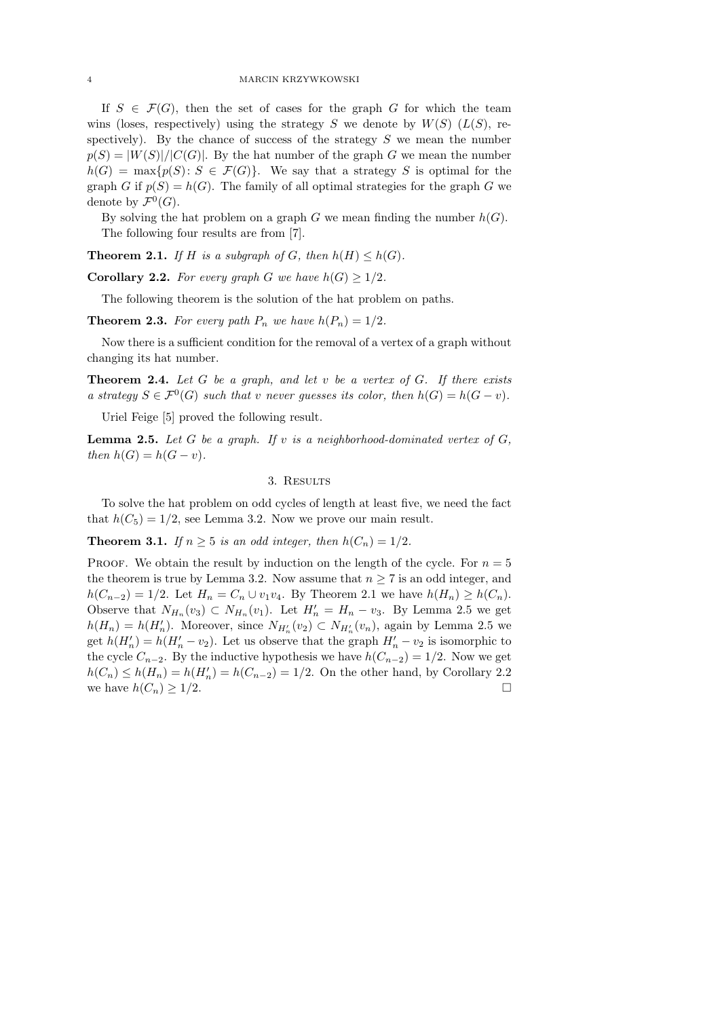### 4 MARCIN KRZYWKOWSKI

If  $S \in \mathcal{F}(G)$ , then the set of cases for the graph G for which the team wins (loses, respectively) using the strategy S we denote by  $W(S)$  ( $L(S)$ , respectively). By the chance of success of the strategy  $S$  we mean the number  $p(S) = |W(S)|/|C(G)|$ . By the hat number of the graph G we mean the number  $h(G) = \max\{p(S): S \in \mathcal{F}(G)\}\.$  We say that a strategy S is optimal for the graph G if  $p(S) = h(G)$ . The family of all optimal strategies for the graph G we denote by  $\mathcal{F}^0(G)$ .

By solving the hat problem on a graph G we mean finding the number  $h(G)$ . The following four results are from [7].

**Theorem 2.1.** If H is a subgraph of G, then  $h(H) \leq h(G)$ .

**Corollary 2.2.** For every graph G we have  $h(G) \geq 1/2$ .

The following theorem is the solution of the hat problem on paths.

**Theorem 2.3.** For every path  $P_n$  we have  $h(P_n) = 1/2$ .

Now there is a sufficient condition for the removal of a vertex of a graph without changing its hat number.

**Theorem 2.4.** Let G be a graph, and let v be a vertex of G. If there exists a strategy  $S \in \mathcal{F}^0(G)$  such that v never guesses its color, then  $h(G) = h(G - v)$ .

Uriel Feige [5] proved the following result.

**Lemma 2.5.** Let G be a graph. If v is a neighborhood-dominated vertex of  $G$ , then  $h(G) = h(G - v)$ .

## 3. RESULTS

To solve the hat problem on odd cycles of length at least five, we need the fact that  $h(C_5) = 1/2$ , see Lemma 3.2. Now we prove our main result.

**Theorem 3.1.** If  $n \geq 5$  is an odd integer, then  $h(C_n) = 1/2$ .

PROOF. We obtain the result by induction on the length of the cycle. For  $n = 5$ the theorem is true by Lemma 3.2. Now assume that  $n \geq 7$  is an odd integer, and  $h(C_{n-2}) = 1/2$ . Let  $H_n = C_n \cup v_1v_4$ . By Theorem 2.1 we have  $h(H_n) \geq h(C_n)$ . Observe that  $N_{H_n}(v_3) \subset N_{H_n}(v_1)$ . Let  $H'_n = H_n - v_3$ . By Lemma 2.5 we get  $h(H_n) = h(H'_n)$ . Moreover, since  $N_{H'_n}(v_2) \subset N_{H'_n}(v_n)$ , again by Lemma 2.5 we get  $h(H'_n) = h(H'_n - v_2)$ . Let us observe that the graph  $H'_n - v_2$  is isomorphic to the cycle  $C_{n-2}$ . By the inductive hypothesis we have  $h(C_{n-2}) = 1/2$ . Now we get  $h(C_n) \le h(H_n) = h(H'_n) = h(C_{n-2}) = 1/2$ . On the other hand, by Corollary 2.2 we have  $h(C_n) \geq 1/2$ .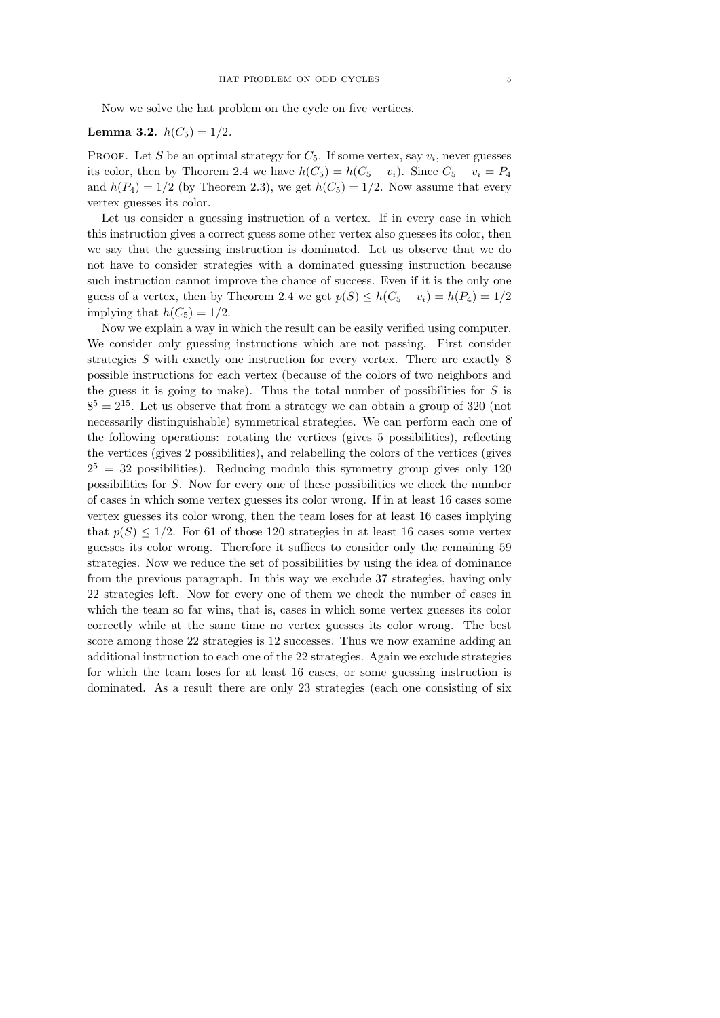Now we solve the hat problem on the cycle on five vertices.

# **Lemma 3.2.**  $h(C_5) = 1/2$ .

PROOF. Let S be an optimal strategy for  $C_5$ . If some vertex, say  $v_i$ , never guesses its color, then by Theorem 2.4 we have  $h(C_5) = h(C_5 - v_i)$ . Since  $C_5 - v_i = P_4$ and  $h(P_4) = 1/2$  (by Theorem 2.3), we get  $h(C_5) = 1/2$ . Now assume that every vertex guesses its color.

Let us consider a guessing instruction of a vertex. If in every case in which this instruction gives a correct guess some other vertex also guesses its color, then we say that the guessing instruction is dominated. Let us observe that we do not have to consider strategies with a dominated guessing instruction because such instruction cannot improve the chance of success. Even if it is the only one guess of a vertex, then by Theorem 2.4 we get  $p(S) \leq h(C_5 - v_i) = h(P_4) = 1/2$ implying that  $h(C_5) = 1/2$ .

Now we explain a way in which the result can be easily verified using computer. We consider only guessing instructions which are not passing. First consider strategies S with exactly one instruction for every vertex. There are exactly 8 possible instructions for each vertex (because of the colors of two neighbors and the guess it is going to make). Thus the total number of possibilities for  $S$  is  $8<sup>5</sup> = 2<sup>15</sup>$ . Let us observe that from a strategy we can obtain a group of 320 (not necessarily distinguishable) symmetrical strategies. We can perform each one of the following operations: rotating the vertices (gives 5 possibilities), reflecting the vertices (gives 2 possibilities), and relabelling the colors of the vertices (gives  $2^5 = 32$  possibilities). Reducing modulo this symmetry group gives only 120 possibilities for S. Now for every one of these possibilities we check the number of cases in which some vertex guesses its color wrong. If in at least 16 cases some vertex guesses its color wrong, then the team loses for at least 16 cases implying that  $p(S) \leq 1/2$ . For 61 of those 120 strategies in at least 16 cases some vertex guesses its color wrong. Therefore it suffices to consider only the remaining 59 strategies. Now we reduce the set of possibilities by using the idea of dominance from the previous paragraph. In this way we exclude 37 strategies, having only 22 strategies left. Now for every one of them we check the number of cases in which the team so far wins, that is, cases in which some vertex guesses its color correctly while at the same time no vertex guesses its color wrong. The best score among those 22 strategies is 12 successes. Thus we now examine adding an additional instruction to each one of the 22 strategies. Again we exclude strategies for which the team loses for at least 16 cases, or some guessing instruction is dominated. As a result there are only 23 strategies (each one consisting of six